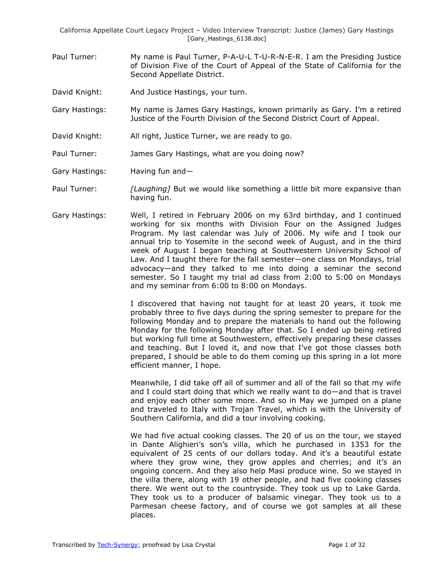- Paul Turner: My name is Paul Turner, P-A-U-L T-U-R-N-E-R. I am the Presiding Justice of Division Five of the Court of Appeal of the State of California for the Second Appellate District.
- David Knight: And Justice Hastings, your turn.
- Gary Hastings: My name is James Gary Hastings, known primarily as Gary. I'm a retired Justice of the Fourth Division of the Second District Court of Appeal.
- David Knight: All right, Justice Turner, we are ready to go.
- Paul Turner: James Gary Hastings, what are you doing now?
- Gary Hastings: Having fun and—
- Paul Turner: *[Laughing]* But we would like something a little bit more expansive than having fun.
- Gary Hastings: Well, I retired in February 2006 on my 63rd birthday, and I continued working for six months with Division Four on the Assigned Judges Program. My last calendar was July of 2006. My wife and I took our annual trip to Yosemite in the second week of August, and in the third week of August I began teaching at Southwestern University School of Law. And I taught there for the fall semester—one class on Mondays, trial advocacy—and they talked to me into doing a seminar the second semester. So I taught my trial ad class from 2:00 to 5:00 on Mondays and my seminar from 6:00 to 8:00 on Mondays.

I discovered that having not taught for at least 20 years, it took me probably three to five days during the spring semester to prepare for the following Monday and to prepare the materials to hand out the following Monday for the following Monday after that. So I ended up being retired but working full time at Southwestern, effectively preparing these classes and teaching. But I loved it, and now that I've got those classes both prepared, I should be able to do them coming up this spring in a lot more efficient manner, I hope.

Meanwhile, I did take off all of summer and all of the fall so that my wife and I could start doing that which we really want to do—and that is travel and enjoy each other some more. And so in May we jumped on a plane and traveled to Italy with Trojan Travel, which is with the University of Southern California, and did a tour involving cooking.

We had five actual cooking classes. The 20 of us on the tour, we stayed in Dante Alighieri's son's villa, which he purchased in 1353 for the equivalent of 25 cents of our dollars today. And it's a beautiful estate where they grow wine, they grow apples and cherries; and it's an ongoing concern. And they also help Masi produce wine. So we stayed in the villa there, along with 19 other people, and had five cooking classes there. We went out to the countryside. They took us up to Lake Garda. They took us to a producer of balsamic vinegar. They took us to a Parmesan cheese factory, and of course we got samples at all these places.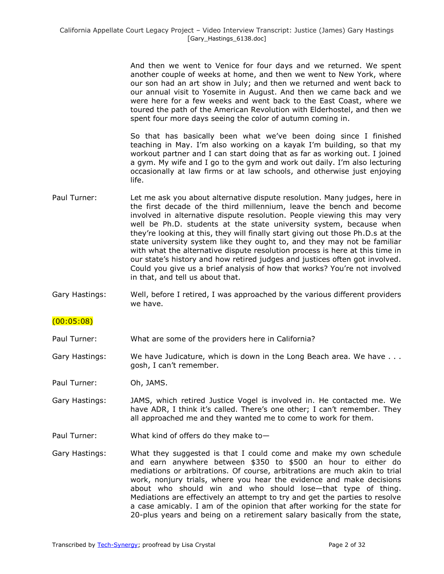And then we went to Venice for four days and we returned. We spent another couple of weeks at home, and then we went to New York, where our son had an art show in July; and then we returned and went back to our annual visit to Yosemite in August. And then we came back and we were here for a few weeks and went back to the East Coast, where we toured the path of the American Revolution with Elderhostel, and then we spent four more days seeing the color of autumn coming in.

So that has basically been what we've been doing since I finished teaching in May. I'm also working on a kayak I'm building, so that my workout partner and I can start doing that as far as working out. I joined a gym. My wife and I go to the gym and work out daily. I'm also lecturing occasionally at law firms or at law schools, and otherwise just enjoying life.

- Paul Turner: Let me ask you about alternative dispute resolution. Many judges, here in the first decade of the third millennium, leave the bench and become involved in alternative dispute resolution. People viewing this may very well be Ph.D. students at the state university system, because when they're looking at this, they will finally start giving out those Ph.D.s at the state university system like they ought to, and they may not be familiar with what the alternative dispute resolution process is here at this time in our state's history and how retired judges and justices often got involved. Could you give us a brief analysis of how that works? You're not involved in that, and tell us about that.
- Gary Hastings: Well, before I retired, I was approached by the various different providers we have.

## (00:05:08)

Paul Turner: What are some of the providers here in California?

Gary Hastings: We have Judicature, which is down in the Long Beach area. We have ... gosh, I can't remember.

Paul Turner: Oh, JAMS.

- Gary Hastings: JAMS, which retired Justice Vogel is involved in. He contacted me. We have ADR, I think it's called. There's one other; I can't remember. They all approached me and they wanted me to come to work for them.
- Paul Turner: What kind of offers do they make to—
- Gary Hastings: What they suggested is that I could come and make my own schedule and earn anywhere between \$350 to \$500 an hour to either do mediations or arbitrations. Of course, arbitrations are much akin to trial work, nonjury trials, where you hear the evidence and make decisions about who should win and who should lose—that type of thing. Mediations are effectively an attempt to try and get the parties to resolve a case amicably. I am of the opinion that after working for the state for 20-plus years and being on a retirement salary basically from the state,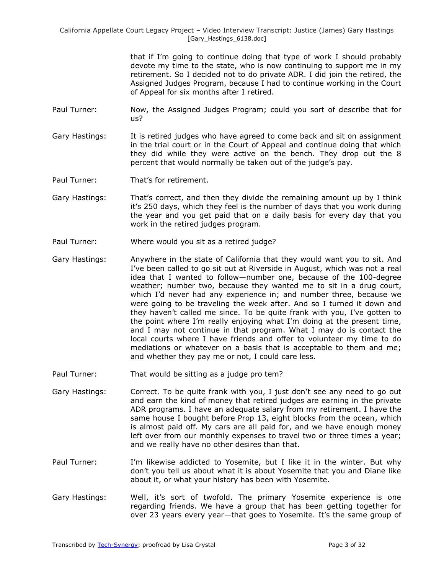> that if I'm going to continue doing that type of work I should probably devote my time to the state, who is now continuing to support me in my retirement. So I decided not to do private ADR. I did join the retired, the Assigned Judges Program, because I had to continue working in the Court of Appeal for six months after I retired.

- Paul Turner: Now, the Assigned Judges Program; could you sort of describe that for us?
- Gary Hastings: It is retired judges who have agreed to come back and sit on assignment in the trial court or in the Court of Appeal and continue doing that which they did while they were active on the bench. They drop out the 8 percent that would normally be taken out of the judge's pay.
- Paul Turner: That's for retirement.
- Gary Hastings: That's correct, and then they divide the remaining amount up by I think it's 250 days, which they feel is the number of days that you work during the year and you get paid that on a daily basis for every day that you work in the retired judges program.
- Paul Turner: Where would you sit as a retired judge?
- Gary Hastings: Anywhere in the state of California that they would want you to sit. And I've been called to go sit out at Riverside in August, which was not a real idea that I wanted to follow—number one, because of the 100-degree weather; number two, because they wanted me to sit in a drug court, which I'd never had any experience in; and number three, because we were going to be traveling the week after. And so I turned it down and they haven't called me since. To be quite frank with you, I've gotten to the point where I'm really enjoying what I'm doing at the present time, and I may not continue in that program. What I may do is contact the local courts where I have friends and offer to volunteer my time to do mediations or whatever on a basis that is acceptable to them and me; and whether they pay me or not, I could care less.
- Paul Turner: That would be sitting as a judge pro tem?
- Gary Hastings: Correct. To be quite frank with you, I just don't see any need to go out and earn the kind of money that retired judges are earning in the private ADR programs. I have an adequate salary from my retirement. I have the same house I bought before Prop 13, eight blocks from the ocean, which is almost paid off. My cars are all paid for, and we have enough money left over from our monthly expenses to travel two or three times a year; and we really have no other desires than that.
- Paul Turner: I'm likewise addicted to Yosemite, but I like it in the winter. But why don't you tell us about what it is about Yosemite that you and Diane like about it, or what your history has been with Yosemite.
- Gary Hastings: Well, it's sort of twofold. The primary Yosemite experience is one regarding friends. We have a group that has been getting together for over 23 years every year—that goes to Yosemite. It's the same group of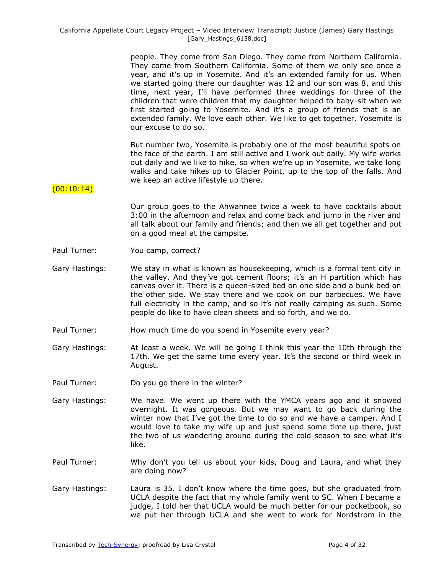> people. They come from San Diego. They come from Northern California. They come from Southern California. Some of them we only see once a year, and it's up in Yosemite. And it's an extended family for us. When we started going there our daughter was 12 and our son was 8, and this time, next year, I'll have performed three weddings for three of the children that were children that my daughter helped to baby-sit when we first started going to Yosemite. And it's a group of friends that is an extended family. We love each other. We like to get together. Yosemite is our excuse to do so.

> But number two, Yosemite is probably one of the most beautiful spots on the face of the earth. I am still active and I work out daily. My wife works out daily and we like to hike, so when we're up in Yosemite, we take long walks and take hikes up to Glacier Point, up to the top of the falls. And we keep an active lifestyle up there.

## $(00:10:14)$

Our group goes to the Ahwahnee twice a week to have cocktails about 3:00 in the afternoon and relax and come back and jump in the river and all talk about our family and friends; and then we all get together and put on a good meal at the campsite.

- Paul Turner: You camp, correct?
- Gary Hastings: We stay in what is known as housekeeping, which is a formal tent city in the valley. And they've got cement floors; it's an H partition which has canvas over it. There is a queen-sized bed on one side and a bunk bed on the other side. We stay there and we cook on our barbecues. We have full electricity in the camp, and so it's not really camping as such. Some people do like to have clean sheets and so forth, and we do.
- Paul Turner: How much time do you spend in Yosemite every year?
- Gary Hastings: At least a week. We will be going I think this year the 10th through the 17th. We get the same time every year. It's the second or third week in August.
- Paul Turner: Do you go there in the winter?
- Gary Hastings: We have. We went up there with the YMCA years ago and it snowed overnight. It was gorgeous. But we may want to go back during the winter now that I've got the time to do so and we have a camper. And I would love to take my wife up and just spend some time up there, just the two of us wandering around during the cold season to see what it's like.
- Paul Turner: Why don't you tell us about your kids, Doug and Laura, and what they are doing now?
- Gary Hastings: Laura is 35. I don't know where the time goes, but she graduated from UCLA despite the fact that my whole family went to SC. When I became a judge, I told her that UCLA would be much better for our pocketbook, so we put her through UCLA and she went to work for Nordstrom in the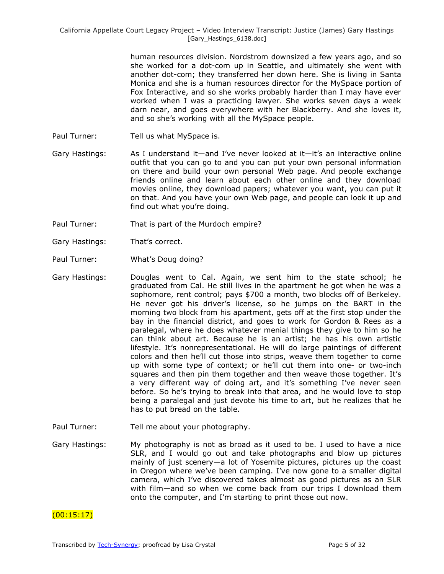human resources division. Nordstrom downsized a few years ago, and so she worked for a dot-com up in Seattle, and ultimately she went with another dot-com; they transferred her down here. She is living in Santa Monica and she is a human resources director for the MySpace portion of Fox Interactive, and so she works probably harder than I may have ever worked when I was a practicing lawyer. She works seven days a week darn near, and goes everywhere with her Blackberry. And she loves it, and so she's working with all the MySpace people.

- Paul Turner: Tell us what MySpace is.
- Gary Hastings: As I understand it—and I've never looked at it—it's an interactive online outfit that you can go to and you can put your own personal information on there and build your own personal Web page. And people exchange friends online and learn about each other online and they download movies online, they download papers; whatever you want, you can put it on that. And you have your own Web page, and people can look it up and find out what you're doing.
- Paul Turner: That is part of the Murdoch empire?
- Gary Hastings: That's correct.
- Paul Turner: What's Doug doing?
- Gary Hastings: Douglas went to Cal. Again, we sent him to the state school; he graduated from Cal. He still lives in the apartment he got when he was a sophomore, rent control; pays \$700 a month, two blocks off of Berkeley. He never got his driver's license, so he jumps on the BART in the morning two block from his apartment, gets off at the first stop under the bay in the financial district, and goes to work for Gordon & Rees as a paralegal, where he does whatever menial things they give to him so he can think about art. Because he is an artist; he has his own artistic lifestyle. It's nonrepresentational. He will do large paintings of different colors and then he'll cut those into strips, weave them together to come up with some type of context; or he'll cut them into one- or two-inch squares and then pin them together and then weave those together. It's a very different way of doing art, and it's something I've never seen before. So he's trying to break into that area, and he would love to stop being a paralegal and just devote his time to art, but he realizes that he has to put bread on the table.
- Paul Turner: Tell me about your photography.
- Gary Hastings: My photography is not as broad as it used to be. I used to have a nice SLR, and I would go out and take photographs and blow up pictures mainly of just scenery—a lot of Yosemite pictures, pictures up the coast in Oregon where we've been camping. I've now gone to a smaller digital camera, which I've discovered takes almost as good pictures as an SLR with film—and so when we come back from our trips I download them onto the computer, and I'm starting to print those out now.

## $(00:15:17)$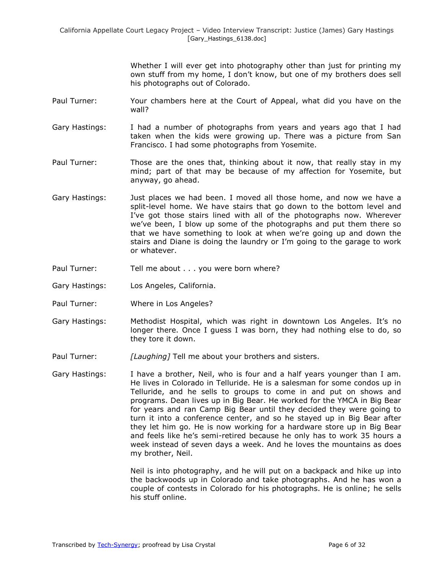Whether I will ever get into photography other than just for printing my own stuff from my home, I don't know, but one of my brothers does sell his photographs out of Colorado.

- Paul Turner: Your chambers here at the Court of Appeal, what did you have on the wall?
- Gary Hastings: I had a number of photographs from years and years ago that I had taken when the kids were growing up. There was a picture from San Francisco. I had some photographs from Yosemite.
- Paul Turner: Those are the ones that, thinking about it now, that really stay in my mind; part of that may be because of my affection for Yosemite, but anyway, go ahead.
- Gary Hastings: Just places we had been. I moved all those home, and now we have a split-level home. We have stairs that go down to the bottom level and I've got those stairs lined with all of the photographs now. Wherever we've been, I blow up some of the photographs and put them there so that we have something to look at when we're going up and down the stairs and Diane is doing the laundry or I'm going to the garage to work or whatever.
- Paul Turner: Tell me about . . . you were born where?
- Gary Hastings: Los Angeles, California.
- Paul Turner: Where in Los Angeles?
- Gary Hastings: Methodist Hospital, which was right in downtown Los Angeles. It's no longer there. Once I guess I was born, they had nothing else to do, so they tore it down.
- Paul Turner: *[Laughing]* Tell me about your brothers and sisters.
- Gary Hastings: I have a brother, Neil, who is four and a half years younger than I am. He lives in Colorado in Telluride. He is a salesman for some condos up in Telluride, and he sells to groups to come in and put on shows and programs. Dean lives up in Big Bear. He worked for the YMCA in Big Bear for years and ran Camp Big Bear until they decided they were going to turn it into a conference center, and so he stayed up in Big Bear after they let him go. He is now working for a hardware store up in Big Bear and feels like he's semi-retired because he only has to work 35 hours a week instead of seven days a week. And he loves the mountains as does my brother, Neil.

Neil is into photography, and he will put on a backpack and hike up into the backwoods up in Colorado and take photographs. And he has won a couple of contests in Colorado for his photographs. He is online; he sells his stuff online.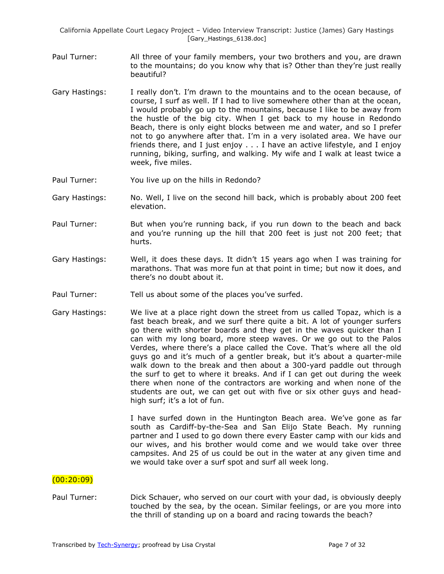- Paul Turner: All three of your family members, your two brothers and you, are drawn to the mountains; do you know why that is? Other than they're just really beautiful?
- Gary Hastings: I really don't. I'm drawn to the mountains and to the ocean because, of course, I surf as well. If I had to live somewhere other than at the ocean, I would probably go up to the mountains, because I like to be away from the hustle of the big city. When I get back to my house in Redondo Beach, there is only eight blocks between me and water, and so I prefer not to go anywhere after that. I'm in a very isolated area. We have our friends there, and I just enjoy . . . I have an active lifestyle, and I enjoy running, biking, surfing, and walking. My wife and I walk at least twice a week, five miles.
- Paul Turner: You live up on the hills in Redondo?
- Gary Hastings: No. Well, I live on the second hill back, which is probably about 200 feet elevation.
- Paul Turner: But when you're running back, if you run down to the beach and back and you're running up the hill that 200 feet is just not 200 feet; that hurts.
- Gary Hastings: Well, it does these days. It didn't 15 years ago when I was training for marathons. That was more fun at that point in time; but now it does, and there's no doubt about it.
- Paul Turner: Tell us about some of the places you've surfed.
- Gary Hastings: We live at a place right down the street from us called Topaz, which is a fast beach break, and we surf there quite a bit. A lot of younger surfers go there with shorter boards and they get in the waves quicker than I can with my long board, more steep waves. Or we go out to the Palos Verdes, where there's a place called the Cove. That's where all the old guys go and it's much of a gentler break, but it's about a quarter-mile walk down to the break and then about a 300-yard paddle out through the surf to get to where it breaks. And if I can get out during the week there when none of the contractors are working and when none of the students are out, we can get out with five or six other guys and headhigh surf; it's a lot of fun.

I have surfed down in the Huntington Beach area. We've gone as far south as Cardiff-by-the-Sea and San Elijo State Beach. My running partner and I used to go down there every Easter camp with our kids and our wives, and his brother would come and we would take over three campsites. And 25 of us could be out in the water at any given time and we would take over a surf spot and surf all week long.

## $(00:20:09)$

Paul Turner: Dick Schauer, who served on our court with your dad, is obviously deeply touched by the sea, by the ocean. Similar feelings, or are you more into the thrill of standing up on a board and racing towards the beach?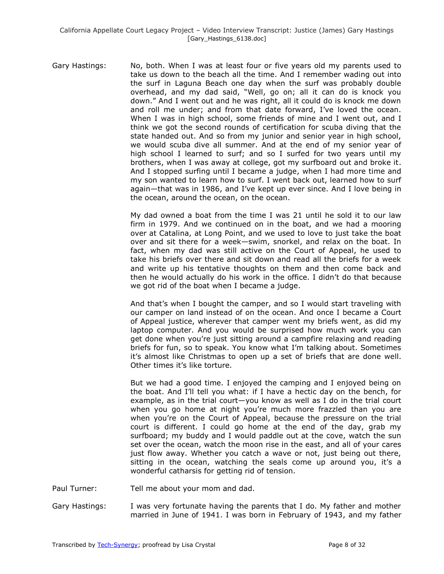Gary Hastings: No, both. When I was at least four or five years old my parents used to take us down to the beach all the time. And I remember wading out into the surf in Laguna Beach one day when the surf was probably double overhead, and my dad said, "Well, go on; all it can do is knock you down.‖ And I went out and he was right, all it could do is knock me down and roll me under; and from that date forward, I've loved the ocean. When I was in high school, some friends of mine and I went out, and I think we got the second rounds of certification for scuba diving that the state handed out. And so from my junior and senior year in high school, we would scuba dive all summer. And at the end of my senior year of high school I learned to surf; and so I surfed for two years until my brothers, when I was away at college, got my surfboard out and broke it. And I stopped surfing until I became a judge, when I had more time and my son wanted to learn how to surf. I went back out, learned how to surf again—that was in 1986, and I've kept up ever since. And I love being in the ocean, around the ocean, on the ocean.

> My dad owned a boat from the time I was 21 until he sold it to our law firm in 1979. And we continued on in the boat, and we had a mooring over at Catalina, at Long Point, and we used to love to just take the boat over and sit there for a week—swim, snorkel, and relax on the boat. In fact, when my dad was still active on the Court of Appeal, he used to take his briefs over there and sit down and read all the briefs for a week and write up his tentative thoughts on them and then come back and then he would actually do his work in the office. I didn't do that because we got rid of the boat when I became a judge.

> And that's when I bought the camper, and so I would start traveling with our camper on land instead of on the ocean. And once I became a Court of Appeal justice, wherever that camper went my briefs went, as did my laptop computer. And you would be surprised how much work you can get done when you're just sitting around a campfire relaxing and reading briefs for fun, so to speak. You know what I'm talking about. Sometimes it's almost like Christmas to open up a set of briefs that are done well. Other times it's like torture.

> But we had a good time. I enjoyed the camping and I enjoyed being on the boat. And I'll tell you what: if I have a hectic day on the bench, for example, as in the trial court—you know as well as I do in the trial court when you go home at night you're much more frazzled than you are when you're on the Court of Appeal, because the pressure on the trial court is different. I could go home at the end of the day, grab my surfboard; my buddy and I would paddle out at the cove, watch the sun set over the ocean, watch the moon rise in the east, and all of your cares just flow away. Whether you catch a wave or not, just being out there, sitting in the ocean, watching the seals come up around you, it's a wonderful catharsis for getting rid of tension.

Paul Turner: Tell me about your mom and dad.

Gary Hastings: I was very fortunate having the parents that I do. My father and mother married in June of 1941. I was born in February of 1943, and my father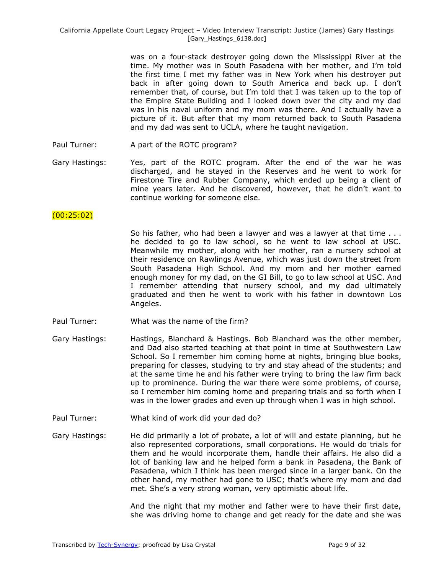was on a four-stack destroyer going down the Mississippi River at the time. My mother was in South Pasadena with her mother, and I'm told the first time I met my father was in New York when his destroyer put back in after going down to South America and back up. I don't remember that, of course, but I'm told that I was taken up to the top of the Empire State Building and I looked down over the city and my dad was in his naval uniform and my mom was there. And I actually have a picture of it. But after that my mom returned back to South Pasadena and my dad was sent to UCLA, where he taught navigation.

- Paul Turner: A part of the ROTC program?
- Gary Hastings: Yes, part of the ROTC program. After the end of the war he was discharged, and he stayed in the Reserves and he went to work for Firestone Tire and Rubber Company, which ended up being a client of mine years later. And he discovered, however, that he didn't want to continue working for someone else.

## $(00:25:02)$

- So his father, who had been a lawyer and was a lawyer at that time . . . he decided to go to law school, so he went to law school at USC. Meanwhile my mother, along with her mother, ran a nursery school at their residence on Rawlings Avenue, which was just down the street from South Pasadena High School. And my mom and her mother earned enough money for my dad, on the GI Bill, to go to law school at USC. And I remember attending that nursery school, and my dad ultimately graduated and then he went to work with his father in downtown Los Angeles.
- Paul Turner: What was the name of the firm?
- Gary Hastings: Hastings, Blanchard & Hastings. Bob Blanchard was the other member, and Dad also started teaching at that point in time at Southwestern Law School. So I remember him coming home at nights, bringing blue books, preparing for classes, studying to try and stay ahead of the students; and at the same time he and his father were trying to bring the law firm back up to prominence. During the war there were some problems, of course, so I remember him coming home and preparing trials and so forth when I was in the lower grades and even up through when I was in high school.
- Paul Turner: What kind of work did your dad do?
- Gary Hastings: He did primarily a lot of probate, a lot of will and estate planning, but he also represented corporations, small corporations. He would do trials for them and he would incorporate them, handle their affairs. He also did a lot of banking law and he helped form a bank in Pasadena, the Bank of Pasadena, which I think has been merged since in a larger bank. On the other hand, my mother had gone to USC; that's where my mom and dad met. She's a very strong woman, very optimistic about life.

And the night that my mother and father were to have their first date, she was driving home to change and get ready for the date and she was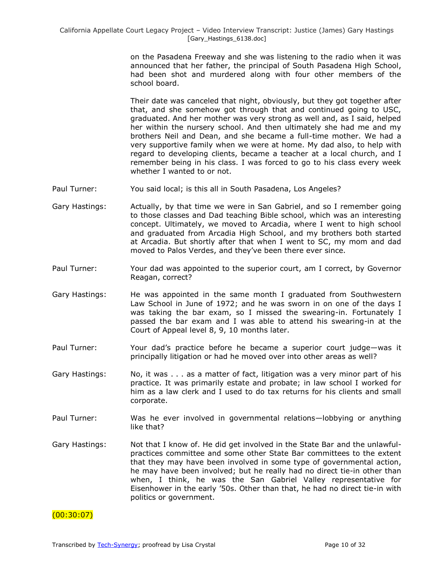on the Pasadena Freeway and she was listening to the radio when it was announced that her father, the principal of South Pasadena High School, had been shot and murdered along with four other members of the school board.

Their date was canceled that night, obviously, but they got together after that, and she somehow got through that and continued going to USC, graduated. And her mother was very strong as well and, as I said, helped her within the nursery school. And then ultimately she had me and my brothers Neil and Dean, and she became a full-time mother. We had a very supportive family when we were at home. My dad also, to help with regard to developing clients, became a teacher at a local church, and I remember being in his class. I was forced to go to his class every week whether I wanted to or not.

- Paul Turner: You said local; is this all in South Pasadena, Los Angeles?
- Gary Hastings: Actually, by that time we were in San Gabriel, and so I remember going to those classes and Dad teaching Bible school, which was an interesting concept. Ultimately, we moved to Arcadia, where I went to high school and graduated from Arcadia High School, and my brothers both started at Arcadia. But shortly after that when I went to SC, my mom and dad moved to Palos Verdes, and they've been there ever since.
- Paul Turner: Your dad was appointed to the superior court, am I correct, by Governor Reagan, correct?
- Gary Hastings: He was appointed in the same month I graduated from Southwestern Law School in June of 1972; and he was sworn in on one of the days I was taking the bar exam, so I missed the swearing-in. Fortunately I passed the bar exam and I was able to attend his swearing-in at the Court of Appeal level 8, 9, 10 months later.
- Paul Turner: Your dad's practice before he became a superior court judge—was it principally litigation or had he moved over into other areas as well?
- Gary Hastings: No, it was . . . as a matter of fact, litigation was a very minor part of his practice. It was primarily estate and probate; in law school I worked for him as a law clerk and I used to do tax returns for his clients and small corporate.
- Paul Turner: Was he ever involved in governmental relations—lobbying or anything like that?
- Gary Hastings: Not that I know of. He did get involved in the State Bar and the unlawfulpractices committee and some other State Bar committees to the extent that they may have been involved in some type of governmental action, he may have been involved; but he really had no direct tie-in other than when, I think, he was the San Gabriel Valley representative for Eisenhower in the early '50s. Other than that, he had no direct tie-in with politics or government.

# $(00:30:07)$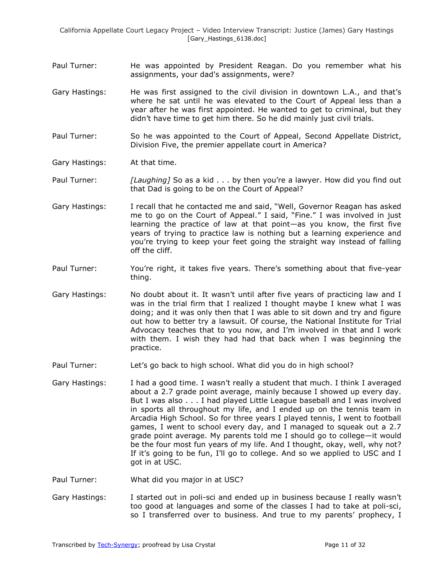- Paul Turner: He was appointed by President Reagan. Do you remember what his assignments, your dad's assignments, were?
- Gary Hastings: He was first assigned to the civil division in downtown L.A., and that's where he sat until he was elevated to the Court of Appeal less than a year after he was first appointed. He wanted to get to criminal, but they didn't have time to get him there. So he did mainly just civil trials.
- Paul Turner: So he was appointed to the Court of Appeal, Second Appellate District, Division Five, the premier appellate court in America?
- Gary Hastings: At that time.
- Paul Turner: *[Laughing]* So as a kid . . . by then you're a lawyer. How did you find out that Dad is going to be on the Court of Appeal?
- Gary Hastings: I recall that he contacted me and said, "Well, Governor Reagan has asked me to go on the Court of Appeal." I said, "Fine." I was involved in just learning the practice of law at that point—as you know, the first five years of trying to practice law is nothing but a learning experience and you're trying to keep your feet going the straight way instead of falling off the cliff.
- Paul Turner: You're right, it takes five years. There's something about that five-year thing.
- Gary Hastings: No doubt about it. It wasn't until after five years of practicing law and I was in the trial firm that I realized I thought maybe I knew what I was doing; and it was only then that I was able to sit down and try and figure out how to better try a lawsuit. Of course, the National Institute for Trial Advocacy teaches that to you now, and I'm involved in that and I work with them. I wish they had had that back when I was beginning the practice.
- Paul Turner: Let's go back to high school. What did you do in high school?
- Gary Hastings: I had a good time. I wasn't really a student that much. I think I averaged about a 2.7 grade point average, mainly because I showed up every day. But I was also . . . I had played Little League baseball and I was involved in sports all throughout my life, and I ended up on the tennis team in Arcadia High School. So for three years I played tennis, I went to football games, I went to school every day, and I managed to squeak out a 2.7 grade point average. My parents told me I should go to college—it would be the four most fun years of my life. And I thought, okay, well, why not? If it's going to be fun, I'll go to college. And so we applied to USC and I got in at USC.
- Paul Turner: What did you major in at USC?
- Gary Hastings: I started out in poli-sci and ended up in business because I really wasn't too good at languages and some of the classes I had to take at poli-sci, so I transferred over to business. And true to my parents' prophecy, I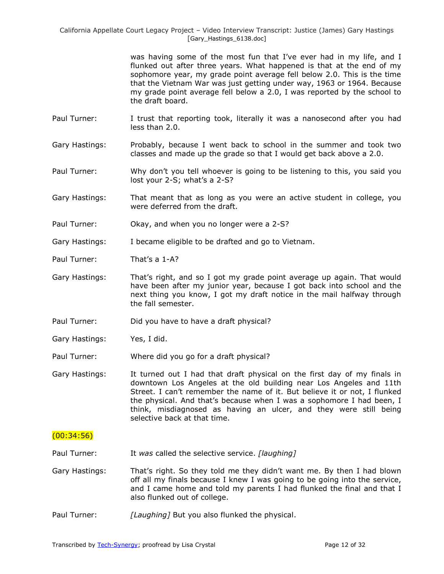> was having some of the most fun that I've ever had in my life, and I flunked out after three years. What happened is that at the end of my sophomore year, my grade point average fell below 2.0. This is the time that the Vietnam War was just getting under way, 1963 or 1964. Because my grade point average fell below a 2.0, I was reported by the school to the draft board.

- Paul Turner: I trust that reporting took, literally it was a nanosecond after you had less than 2.0.
- Gary Hastings: Probably, because I went back to school in the summer and took two classes and made up the grade so that I would get back above a 2.0.
- Paul Turner: Why don't you tell whoever is going to be listening to this, you said you lost your 2-S; what's a 2-S?
- Gary Hastings: That meant that as long as you were an active student in college, you were deferred from the draft.
- Paul Turner: Okay, and when you no longer were a 2-S?
- Gary Hastings: I became eligible to be drafted and go to Vietnam.
- Paul Turner: That's a 1-A?
- Gary Hastings: That's right, and so I got my grade point average up again. That would have been after my junior year, because I got back into school and the next thing you know, I got my draft notice in the mail halfway through the fall semester.
- Paul Turner: Did you have to have a draft physical?
- Gary Hastings: Yes, I did.
- Paul Turner: Where did you go for a draft physical?
- Gary Hastings: It turned out I had that draft physical on the first day of my finals in downtown Los Angeles at the old building near Los Angeles and 11th Street. I can't remember the name of it. But believe it or not, I flunked the physical. And that's because when I was a sophomore I had been, I think, misdiagnosed as having an ulcer, and they were still being selective back at that time.

## $(00:34:56)$

- Paul Turner: It *was* called the selective service. *[laughing]*
- Gary Hastings: That's right. So they told me they didn't want me. By then I had blown off all my finals because I knew I was going to be going into the service, and I came home and told my parents I had flunked the final and that I also flunked out of college.
- Paul Turner: *[Laughing]* But you also flunked the physical.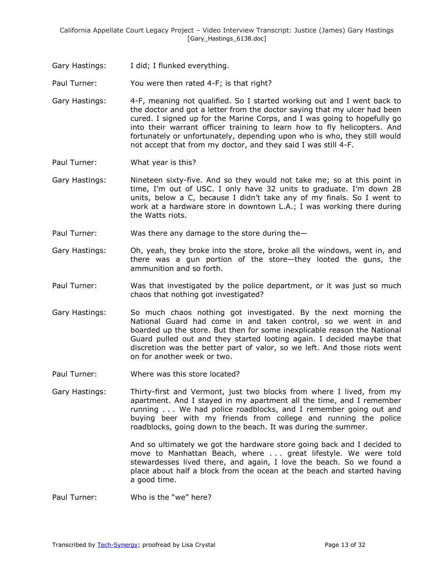Gary Hastings: I did; I flunked everything.

Paul Turner: You were then rated 4-F; is that right?

- Gary Hastings: 4-F, meaning not qualified. So I started working out and I went back to the doctor and got a letter from the doctor saying that my ulcer had been cured. I signed up for the Marine Corps, and I was going to hopefully go into their warrant officer training to learn how to fly helicopters. And fortunately or unfortunately, depending upon who is who, they still would not accept that from my doctor, and they said I was still 4-F.
- Paul Turner: What year is this?
- Gary Hastings: Nineteen sixty-five. And so they would not take me; so at this point in time, I'm out of USC. I only have 32 units to graduate. I'm down 28 units, below a C, because I didn't take any of my finals. So I went to work at a hardware store in downtown L.A.; I was working there during the Watts riots.
- Paul Turner: Was there any damage to the store during the—
- Gary Hastings: Oh, yeah, they broke into the store, broke all the windows, went in, and there was a gun portion of the store—they looted the guns, the ammunition and so forth.
- Paul Turner: Was that investigated by the police department, or it was just so much chaos that nothing got investigated?
- Gary Hastings: So much chaos nothing got investigated. By the next morning the National Guard had come in and taken control, so we went in and boarded up the store. But then for some inexplicable reason the National Guard pulled out and they started looting again. I decided maybe that discretion was the better part of valor, so we left. And those riots went on for another week or two.
- Paul Turner: Where was this store located?
- Gary Hastings: Thirty-first and Vermont, just two blocks from where I lived, from my apartment. And I stayed in my apartment all the time, and I remember running . . . We had police roadblocks, and I remember going out and buying beer with my friends from college and running the police roadblocks, going down to the beach. It was during the summer.

And so ultimately we got the hardware store going back and I decided to move to Manhattan Beach, where . . . great lifestyle. We were told stewardesses lived there, and again, I love the beach. So we found a place about half a block from the ocean at the beach and started having a good time.

Paul Turner: Who is the "we" here?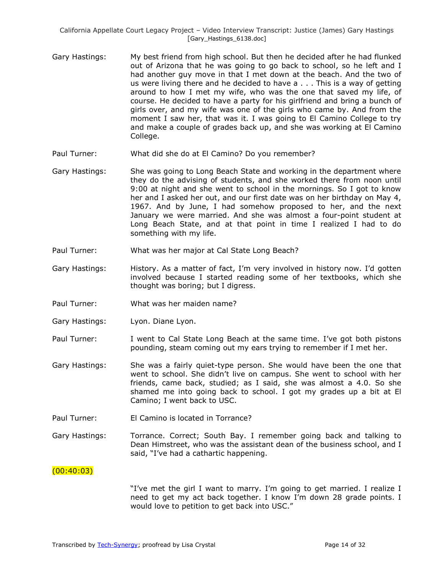- Gary Hastings: My best friend from high school. But then he decided after he had flunked out of Arizona that he was going to go back to school, so he left and I had another guy move in that I met down at the beach. And the two of us were living there and he decided to have a . . . This is a way of getting around to how I met my wife, who was the one that saved my life, of course. He decided to have a party for his girlfriend and bring a bunch of girls over, and my wife was one of the girls who came by. And from the moment I saw her, that was it. I was going to El Camino College to try and make a couple of grades back up, and she was working at El Camino College.
- Paul Turner: What did she do at El Camino? Do you remember?
- Gary Hastings: She was going to Long Beach State and working in the department where they do the advising of students, and she worked there from noon until 9:00 at night and she went to school in the mornings. So I got to know her and I asked her out, and our first date was on her birthday on May 4, 1967. And by June, I had somehow proposed to her, and the next January we were married. And she was almost a four-point student at Long Beach State, and at that point in time I realized I had to do something with my life.
- Paul Turner: What was her major at Cal State Long Beach?
- Gary Hastings: History. As a matter of fact, I'm very involved in history now. I'd gotten involved because I started reading some of her textbooks, which she thought was boring; but I digress.
- Paul Turner: What was her maiden name?
- Gary Hastings: Lyon. Diane Lyon.
- Paul Turner: I went to Cal State Long Beach at the same time. I've got both pistons pounding, steam coming out my ears trying to remember if I met her.
- Gary Hastings: She was a fairly quiet-type person. She would have been the one that went to school. She didn't live on campus. She went to school with her friends, came back, studied; as I said, she was almost a 4.0. So she shamed me into going back to school. I got my grades up a bit at El Camino; I went back to USC.
- Paul Turner: El Camino is located in Torrance?
- Gary Hastings: Torrance. Correct; South Bay. I remember going back and talking to Dean Himstreet, who was the assistant dean of the business school, and I said, "I've had a cathartic happening.

#### $(00:40:03)$

"I've met the girl I want to marry. I'm going to get married. I realize I need to get my act back together. I know I'm down 28 grade points. I would love to petition to get back into USC."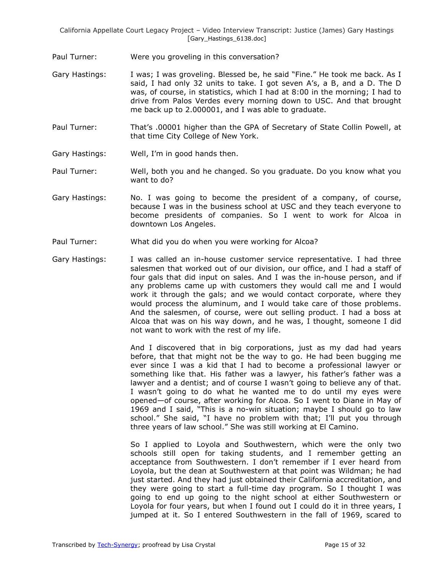Paul Turner: Were you groveling in this conversation?

- Gary Hastings: I was; I was groveling. Blessed be, he said "Fine." He took me back. As I said, I had only 32 units to take. I got seven A's, a B, and a D. The D was, of course, in statistics, which I had at 8:00 in the morning; I had to drive from Palos Verdes every morning down to USC. And that brought me back up to 2.000001, and I was able to graduate.
- Paul Turner: That's .00001 higher than the GPA of Secretary of State Collin Powell, at that time City College of New York.
- Gary Hastings: Well, I'm in good hands then.
- Paul Turner: Well, both you and he changed. So you graduate. Do you know what you want to do?
- Gary Hastings: No. I was going to become the president of a company, of course, because I was in the business school at USC and they teach everyone to become presidents of companies. So I went to work for Alcoa in downtown Los Angeles.
- Paul Turner: What did you do when you were working for Alcoa?
- Gary Hastings: I was called an in-house customer service representative. I had three salesmen that worked out of our division, our office, and I had a staff of four gals that did input on sales. And I was the in-house person, and if any problems came up with customers they would call me and I would work it through the gals; and we would contact corporate, where they would process the aluminum, and I would take care of those problems. And the salesmen, of course, were out selling product. I had a boss at Alcoa that was on his way down, and he was, I thought, someone I did not want to work with the rest of my life.

And I discovered that in big corporations, just as my dad had years before, that that might not be the way to go. He had been bugging me ever since I was a kid that I had to become a professional lawyer or something like that. His father was a lawyer, his father's father was a lawyer and a dentist; and of course I wasn't going to believe any of that. I wasn't going to do what he wanted me to do until my eyes were opened—of course, after working for Alcoa. So I went to Diane in May of 1969 and I said, "This is a no-win situation; maybe I should go to law school." She said, "I have no problem with that; I'll put you through three years of law school." She was still working at El Camino.

So I applied to Loyola and Southwestern, which were the only two schools still open for taking students, and I remember getting an acceptance from Southwestern. I don't remember if I ever heard from Loyola, but the dean at Southwestern at that point was Wildman; he had just started. And they had just obtained their California accreditation, and they were going to start a full-time day program. So I thought I was going to end up going to the night school at either Southwestern or Loyola for four years, but when I found out I could do it in three years, I jumped at it. So I entered Southwestern in the fall of 1969, scared to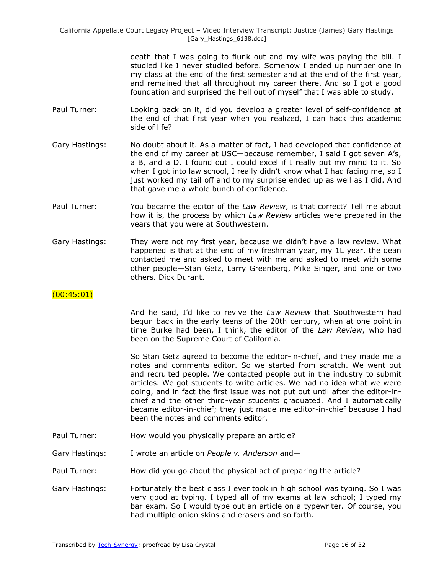> death that I was going to flunk out and my wife was paying the bill. I studied like I never studied before. Somehow I ended up number one in my class at the end of the first semester and at the end of the first year, and remained that all throughout my career there. And so I got a good foundation and surprised the hell out of myself that I was able to study.

- Paul Turner: Looking back on it, did you develop a greater level of self-confidence at the end of that first year when you realized, I can hack this academic side of life?
- Gary Hastings: No doubt about it. As a matter of fact, I had developed that confidence at the end of my career at USC—because remember, I said I got seven A's, a B, and a D. I found out I could excel if I really put my mind to it. So when I got into law school, I really didn't know what I had facing me, so I just worked my tail off and to my surprise ended up as well as I did. And that gave me a whole bunch of confidence.
- Paul Turner: You became the editor of the *Law Review*, is that correct? Tell me about how it is, the process by which *Law Review* articles were prepared in the years that you were at Southwestern.
- Gary Hastings: They were not my first year, because we didn't have a law review. What happened is that at the end of my freshman year, my 1L year, the dean contacted me and asked to meet with me and asked to meet with some other people—Stan Getz, Larry Greenberg, Mike Singer, and one or two others. Dick Durant.

# $(00:45:01)$

And he said, I'd like to revive the *Law Review* that Southwestern had begun back in the early teens of the 20th century, when at one point in time Burke had been, I think, the editor of the *Law Review*, who had been on the Supreme Court of California.

So Stan Getz agreed to become the editor-in-chief, and they made me a notes and comments editor. So we started from scratch. We went out and recruited people. We contacted people out in the industry to submit articles. We got students to write articles. We had no idea what we were doing, and in fact the first issue was not put out until after the editor-inchief and the other third-year students graduated. And I automatically became editor-in-chief; they just made me editor-in-chief because I had been the notes and comments editor.

- Paul Turner: How would you physically prepare an article?
- Gary Hastings: I wrote an article on *People v. Anderson* and—
- Paul Turner: How did you go about the physical act of preparing the article?
- Gary Hastings: Fortunately the best class I ever took in high school was typing. So I was very good at typing. I typed all of my exams at law school; I typed my bar exam. So I would type out an article on a typewriter. Of course, you had multiple onion skins and erasers and so forth.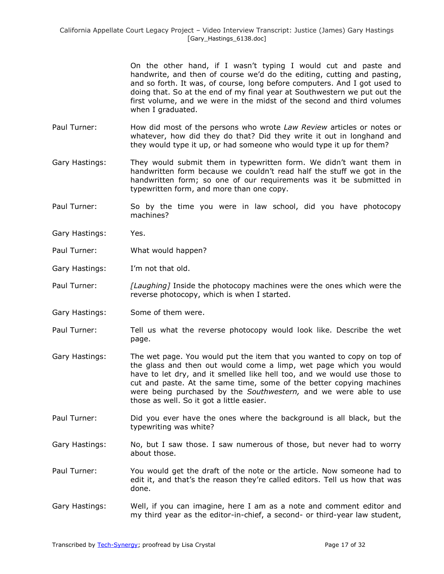On the other hand, if I wasn't typing I would cut and paste and handwrite, and then of course we'd do the editing, cutting and pasting, and so forth. It was, of course, long before computers. And I got used to doing that. So at the end of my final year at Southwestern we put out the first volume, and we were in the midst of the second and third volumes when I graduated.

- Paul Turner: How did most of the persons who wrote *Law Review* articles or notes or whatever, how did they do that? Did they write it out in longhand and they would type it up, or had someone who would type it up for them?
- Gary Hastings: They would submit them in typewritten form. We didn't want them in handwritten form because we couldn't read half the stuff we got in the handwritten form; so one of our requirements was it be submitted in typewritten form, and more than one copy.
- Paul Turner: So by the time you were in law school, did you have photocopy machines?
- Gary Hastings: Yes.
- Paul Turner: What would happen?
- Gary Hastings: I'm not that old.
- Paul Turner: *[Laughing]* Inside the photocopy machines were the ones which were the reverse photocopy, which is when I started.
- Gary Hastings: Some of them were.
- Paul Turner: Tell us what the reverse photocopy would look like. Describe the wet page.
- Gary Hastings: The wet page. You would put the item that you wanted to copy on top of the glass and then out would come a limp, wet page which you would have to let dry, and it smelled like hell too, and we would use those to cut and paste. At the same time, some of the better copying machines were being purchased by the *Southwestern,* and we were able to use those as well. So it got a little easier.
- Paul Turner: Did you ever have the ones where the background is all black, but the typewriting was white?
- Gary Hastings: No, but I saw those. I saw numerous of those, but never had to worry about those.
- Paul Turner: You would get the draft of the note or the article. Now someone had to edit it, and that's the reason they're called editors. Tell us how that was done.
- Gary Hastings: Well, if you can imagine, here I am as a note and comment editor and my third year as the editor-in-chief, a second- or third-year law student,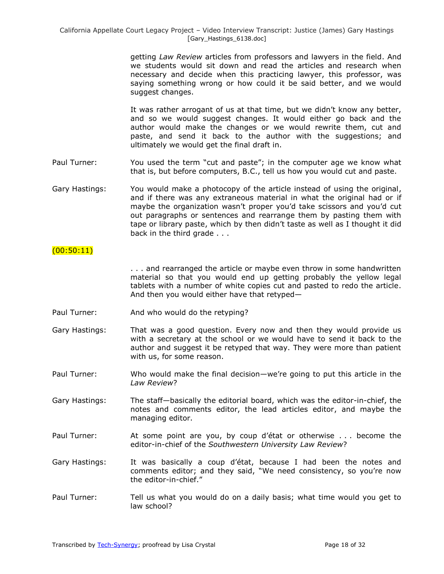getting *Law Review* articles from professors and lawyers in the field. And we students would sit down and read the articles and research when necessary and decide when this practicing lawyer, this professor, was saying something wrong or how could it be said better, and we would suggest changes.

It was rather arrogant of us at that time, but we didn't know any better, and so we would suggest changes. It would either go back and the author would make the changes or we would rewrite them, cut and paste, and send it back to the author with the suggestions; and ultimately we would get the final draft in.

- Paul Turner: You used the term "cut and paste"; in the computer age we know what that is, but before computers, B.C., tell us how you would cut and paste.
- Gary Hastings: You would make a photocopy of the article instead of using the original, and if there was any extraneous material in what the original had or if maybe the organization wasn't proper you'd take scissors and you'd cut out paragraphs or sentences and rearrange them by pasting them with tape or library paste, which by then didn't taste as well as I thought it did back in the third grade . . .

# $(00:50:11)$

. . . and rearranged the article or maybe even throw in some handwritten material so that you would end up getting probably the yellow legal tablets with a number of white copies cut and pasted to redo the article. And then you would either have that retyped—

- Paul Turner: And who would do the retyping?
- Gary Hastings: That was a good question. Every now and then they would provide us with a secretary at the school or we would have to send it back to the author and suggest it be retyped that way. They were more than patient with us, for some reason.
- Paul Turner: Who would make the final decision—we're going to put this article in the *Law Review*?
- Gary Hastings: The staff—basically the editorial board, which was the editor-in-chief, the notes and comments editor, the lead articles editor, and maybe the managing editor.
- Paul Turner: At some point are you, by coup d'état or otherwise . . . become the editor-in-chief of the *Southwestern University Law Review*?
- Gary Hastings: It was basically a coup d'état, because I had been the notes and comments editor; and they said, "We need consistency, so you're now the editor-in-chief."
- Paul Turner: Tell us what you would do on a daily basis; what time would you get to law school?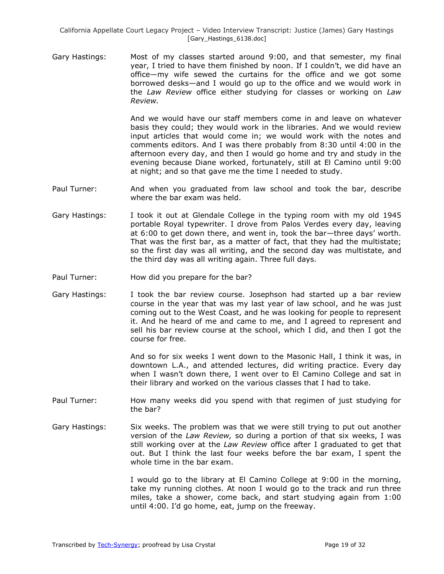Gary Hastings: Most of my classes started around 9:00, and that semester, my final year, I tried to have them finished by noon. If I couldn't, we did have an office—my wife sewed the curtains for the office and we got some borrowed desks—and I would go up to the office and we would work in the *Law Review* office either studying for classes or working on *Law Review.* 

> And we would have our staff members come in and leave on whatever basis they could; they would work in the libraries. And we would review input articles that would come in; we would work with the notes and comments editors. And I was there probably from 8:30 until 4:00 in the afternoon every day, and then I would go home and try and study in the evening because Diane worked, fortunately, still at El Camino until 9:00 at night; and so that gave me the time I needed to study.

- Paul Turner: And when you graduated from law school and took the bar, describe where the bar exam was held.
- Gary Hastings: I took it out at Glendale College in the typing room with my old 1945 portable Royal typewriter. I drove from Palos Verdes every day, leaving at 6:00 to get down there, and went in, took the bar—three days' worth. That was the first bar, as a matter of fact, that they had the multistate; so the first day was all writing, and the second day was multistate, and the third day was all writing again. Three full days.
- Paul Turner: How did you prepare for the bar?
- Gary Hastings: I took the bar review course. Josephson had started up a bar review course in the year that was my last year of law school, and he was just coming out to the West Coast, and he was looking for people to represent it. And he heard of me and came to me, and I agreed to represent and sell his bar review course at the school, which I did, and then I got the course for free.

And so for six weeks I went down to the Masonic Hall, I think it was, in downtown L.A., and attended lectures, did writing practice. Every day when I wasn't down there, I went over to El Camino College and sat in their library and worked on the various classes that I had to take.

- Paul Turner: How many weeks did you spend with that regimen of just studying for the bar?
- Gary Hastings: Six weeks. The problem was that we were still trying to put out another version of the *Law Review,* so during a portion of that six weeks, I was still working over at the *Law Review* office after I graduated to get that out. But I think the last four weeks before the bar exam, I spent the whole time in the bar exam.

I would go to the library at El Camino College at 9:00 in the morning, take my running clothes. At noon I would go to the track and run three miles, take a shower, come back, and start studying again from 1:00 until 4:00. I'd go home, eat, jump on the freeway.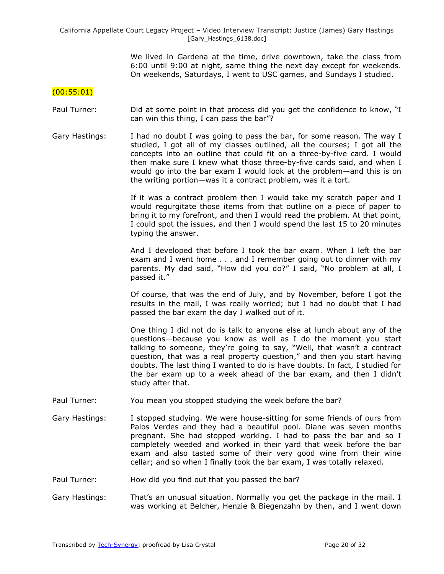We lived in Gardena at the time, drive downtown, take the class from 6:00 until 9:00 at night, same thing the next day except for weekends. On weekends, Saturdays, I went to USC games, and Sundays I studied.

## (00:55:01)

- Paul Turner: Did at some point in that process did you get the confidence to know, "I can win this thing, I can pass the bar"?
- Gary Hastings: I had no doubt I was going to pass the bar, for some reason. The way I studied, I got all of my classes outlined, all the courses; I got all the concepts into an outline that could fit on a three-by-five card. I would then make sure I knew what those three-by-five cards said, and when I would go into the bar exam I would look at the problem—and this is on the writing portion—was it a contract problem, was it a tort.

If it was a contract problem then I would take my scratch paper and I would regurgitate those items from that outline on a piece of paper to bring it to my forefront, and then I would read the problem. At that point, I could spot the issues, and then I would spend the last 15 to 20 minutes typing the answer.

And I developed that before I took the bar exam. When I left the bar exam and I went home . . . and I remember going out to dinner with my parents. My dad said, "How did you do?" I said, "No problem at all, I passed it."

Of course, that was the end of July, and by November, before I got the results in the mail, I was really worried; but I had no doubt that I had passed the bar exam the day I walked out of it.

One thing I did not do is talk to anyone else at lunch about any of the questions—because you know as well as I do the moment you start talking to someone, they're going to say, "Well, that wasn't a contract question, that was a real property question," and then you start having doubts. The last thing I wanted to do is have doubts. In fact, I studied for the bar exam up to a week ahead of the bar exam, and then I didn't study after that.

- Paul Turner: You mean you stopped studying the week before the bar?
- Gary Hastings: I stopped studying. We were house-sitting for some friends of ours from Palos Verdes and they had a beautiful pool. Diane was seven months pregnant. She had stopped working. I had to pass the bar and so I completely weeded and worked in their yard that week before the bar exam and also tasted some of their very good wine from their wine cellar; and so when I finally took the bar exam, I was totally relaxed.
- Paul Turner: How did you find out that you passed the bar?
- Gary Hastings: That's an unusual situation. Normally you get the package in the mail. I was working at Belcher, Henzie & Biegenzahn by then, and I went down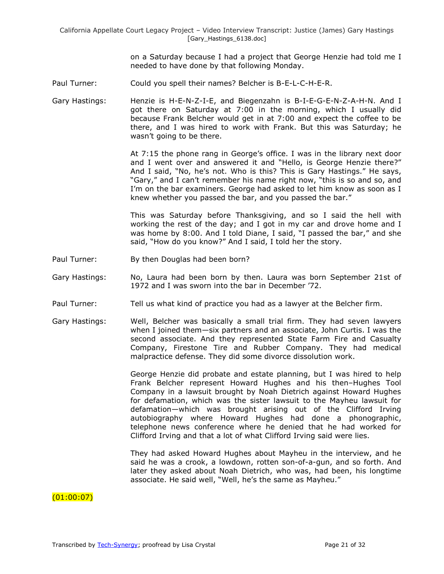on a Saturday because I had a project that George Henzie had told me I needed to have done by that following Monday.

- Paul Turner: Could you spell their names? Belcher is B-E-L-C-H-E-R.
- Gary Hastings: Henzie is H-E-N-Z-I-E, and Biegenzahn is B-I-E-G-E-N-Z-A-H-N. And I got there on Saturday at 7:00 in the morning, which I usually did because Frank Belcher would get in at 7:00 and expect the coffee to be there, and I was hired to work with Frank. But this was Saturday; he wasn't going to be there.

At 7:15 the phone rang in George's office. I was in the library next door and I went over and answered it and "Hello, is George Henzie there?" And I said, "No, he's not. Who is this? This is Gary Hastings." He says, "Gary," and I can't remember his name right now, "this is so and so, and I'm on the bar examiners. George had asked to let him know as soon as I knew whether you passed the bar, and you passed the bar."

This was Saturday before Thanksgiving, and so I said the hell with working the rest of the day; and I got in my car and drove home and I was home by 8:00. And I told Diane, I said, "I passed the bar," and she said, "How do you know?" And I said, I told her the story.

- Paul Turner: By then Douglas had been born?
- Gary Hastings: No, Laura had been born by then. Laura was born September 21st of 1972 and I was sworn into the bar in December '72.
- Paul Turner: Tell us what kind of practice you had as a lawyer at the Belcher firm.
- Gary Hastings: Well, Belcher was basically a small trial firm. They had seven lawyers when I joined them—six partners and an associate, John Curtis. I was the second associate. And they represented State Farm Fire and Casualty Company, Firestone Tire and Rubber Company. They had medical malpractice defense. They did some divorce dissolution work.

George Henzie did probate and estate planning, but I was hired to help Frank Belcher represent Howard Hughes and his then–Hughes Tool Company in a lawsuit brought by Noah Dietrich against Howard Hughes for defamation, which was the sister lawsuit to the Mayheu lawsuit for defamation—which was brought arising out of the Clifford Irving autobiography where Howard Hughes had done a phonographic, telephone news conference where he denied that he had worked for Clifford Irving and that a lot of what Clifford Irving said were lies.

They had asked Howard Hughes about Mayheu in the interview, and he said he was a crook, a lowdown, rotten son-of-a-gun, and so forth. And later they asked about Noah Dietrich, who was, had been, his longtime associate. He said well, "Well, he's the same as Mayheu."

# $(01:00:07)$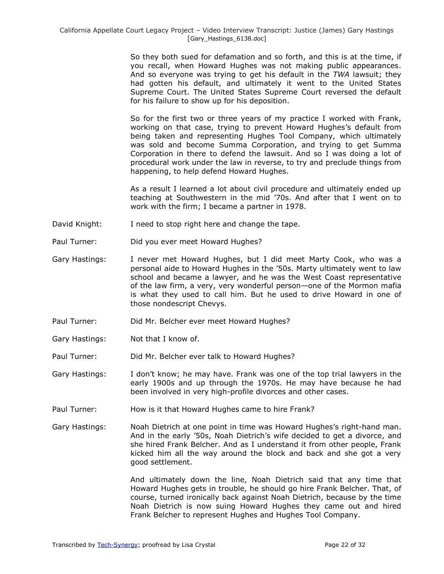So they both sued for defamation and so forth, and this is at the time, if you recall, when Howard Hughes was not making public appearances. And so everyone was trying to get his default in the *TWA* lawsuit; they had gotten his default, and ultimately it went to the United States Supreme Court. The United States Supreme Court reversed the default for his failure to show up for his deposition.

So for the first two or three years of my practice I worked with Frank, working on that case, trying to prevent Howard Hughes's default from being taken and representing Hughes Tool Company, which ultimately was sold and become Summa Corporation, and trying to get Summa Corporation in there to defend the lawsuit. And so I was doing a lot of procedural work under the law in reverse, to try and preclude things from happening, to help defend Howard Hughes.

As a result I learned a lot about civil procedure and ultimately ended up teaching at Southwestern in the mid '70s. And after that I went on to work with the firm; I became a partner in 1978.

- David Knight: I need to stop right here and change the tape.
- Paul Turner: Did you ever meet Howard Hughes?
- Gary Hastings: I never met Howard Hughes, but I did meet Marty Cook, who was a personal aide to Howard Hughes in the '50s. Marty ultimately went to law school and became a lawyer, and he was the West Coast representative of the law firm, a very, very wonderful person—one of the Mormon mafia is what they used to call him. But he used to drive Howard in one of those nondescript Chevys.
- Paul Turner: Did Mr. Belcher ever meet Howard Hughes?
- Gary Hastings: Not that I know of.
- Paul Turner: Did Mr. Belcher ever talk to Howard Hughes?
- Gary Hastings: I don't know; he may have. Frank was one of the top trial lawyers in the early 1900s and up through the 1970s. He may have because he had been involved in very high-profile divorces and other cases.
- Paul Turner: How is it that Howard Hughes came to hire Frank?

Gary Hastings: Noah Dietrich at one point in time was Howard Hughes's right-hand man. And in the early '50s, Noah Dietrich's wife decided to get a divorce, and she hired Frank Belcher. And as I understand it from other people, Frank kicked him all the way around the block and back and she got a very good settlement.

> And ultimately down the line, Noah Dietrich said that any time that Howard Hughes gets in trouble, he should go hire Frank Belcher. That, of course, turned ironically back against Noah Dietrich, because by the time Noah Dietrich is now suing Howard Hughes they came out and hired Frank Belcher to represent Hughes and Hughes Tool Company.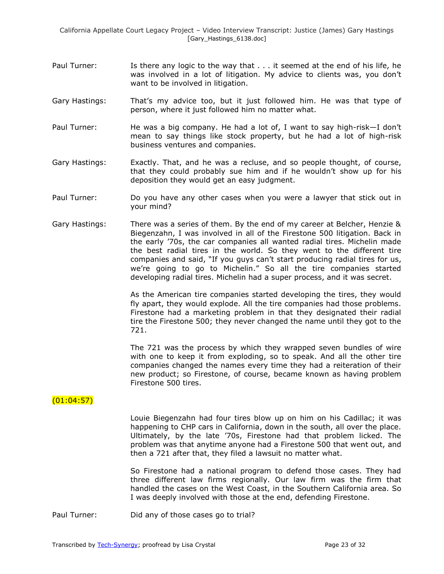- Paul Turner: Is there any logic to the way that . . . it seemed at the end of his life, he was involved in a lot of litigation. My advice to clients was, you don't want to be involved in litigation.
- Gary Hastings: That's my advice too, but it just followed him. He was that type of person, where it just followed him no matter what.
- Paul Turner: He was a big company. He had a lot of, I want to say high-risk-I don't mean to say things like stock property, but he had a lot of high-risk business ventures and companies.
- Gary Hastings: Exactly. That, and he was a recluse, and so people thought, of course, that they could probably sue him and if he wouldn't show up for his deposition they would get an easy judgment.
- Paul Turner: Do you have any other cases when you were a lawyer that stick out in your mind?
- Gary Hastings: There was a series of them. By the end of my career at Belcher, Henzie & Biegenzahn, I was involved in all of the Firestone 500 litigation. Back in the early '70s, the car companies all wanted radial tires. Michelin made the best radial tires in the world. So they went to the different tire companies and said, "If you guys can't start producing radial tires for us, we're going to go to Michelin." So all the tire companies started developing radial tires. Michelin had a super process, and it was secret.

As the American tire companies started developing the tires, they would fly apart, they would explode. All the tire companies had those problems. Firestone had a marketing problem in that they designated their radial tire the Firestone 500; they never changed the name until they got to the 721.

The 721 was the process by which they wrapped seven bundles of wire with one to keep it from exploding, so to speak. And all the other tire companies changed the names every time they had a reiteration of their new product; so Firestone, of course, became known as having problem Firestone 500 tires.

# $(01:04:57)$

Louie Biegenzahn had four tires blow up on him on his Cadillac; it was happening to CHP cars in California, down in the south, all over the place. Ultimately, by the late '70s, Firestone had that problem licked. The problem was that anytime anyone had a Firestone 500 that went out, and then a 721 after that, they filed a lawsuit no matter what.

So Firestone had a national program to defend those cases. They had three different law firms regionally. Our law firm was the firm that handled the cases on the West Coast, in the Southern California area. So I was deeply involved with those at the end, defending Firestone.

Paul Turner: Did any of those cases go to trial?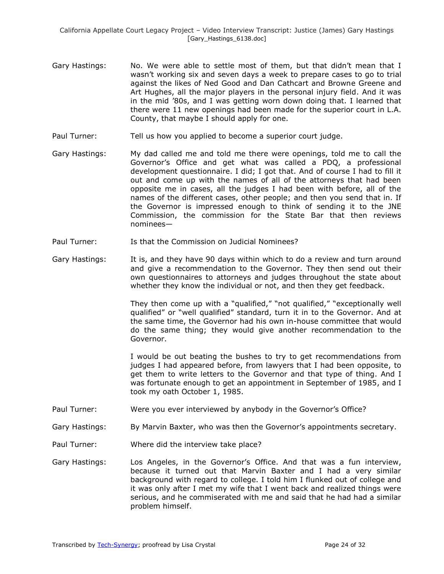- Gary Hastings: No. We were able to settle most of them, but that didn't mean that I wasn't working six and seven days a week to prepare cases to go to trial against the likes of Ned Good and Dan Cathcart and Browne Greene and Art Hughes, all the major players in the personal injury field. And it was in the mid '80s, and I was getting worn down doing that. I learned that there were 11 new openings had been made for the superior court in L.A. County, that maybe I should apply for one.
- Paul Turner: Tell us how you applied to become a superior court judge.
- Gary Hastings: My dad called me and told me there were openings, told me to call the Governor's Office and get what was called a PDQ, a professional development questionnaire. I did; I got that. And of course I had to fill it out and come up with the names of all of the attorneys that had been opposite me in cases, all the judges I had been with before, all of the names of the different cases, other people; and then you send that in. If the Governor is impressed enough to think of sending it to the JNE Commission, the commission for the State Bar that then reviews nominees—
- Paul Turner: Is that the Commission on Judicial Nominees?
- Gary Hastings: It is, and they have 90 days within which to do a review and turn around and give a recommendation to the Governor. They then send out their own questionnaires to attorneys and judges throughout the state about whether they know the individual or not, and then they get feedback.

They then come up with a "qualified," "not qualified," "exceptionally well qualified" or "well qualified" standard, turn it in to the Governor. And at the same time, the Governor had his own in-house committee that would do the same thing; they would give another recommendation to the Governor.

I would be out beating the bushes to try to get recommendations from judges I had appeared before, from lawyers that I had been opposite, to get them to write letters to the Governor and that type of thing. And I was fortunate enough to get an appointment in September of 1985, and I took my oath October 1, 1985.

- Paul Turner: Were you ever interviewed by anybody in the Governor's Office?
- Gary Hastings: By Marvin Baxter, who was then the Governor's appointments secretary.
- Paul Turner: Where did the interview take place?
- Gary Hastings: Los Angeles, in the Governor's Office. And that was a fun interview, because it turned out that Marvin Baxter and I had a very similar background with regard to college. I told him I flunked out of college and it was only after I met my wife that I went back and realized things were serious, and he commiserated with me and said that he had had a similar problem himself.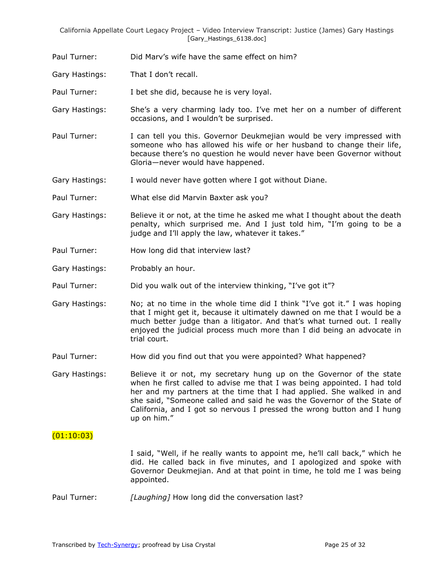Paul Turner: Did Marv's wife have the same effect on him?

Gary Hastings: That I don't recall.

Paul Turner: I bet she did, because he is very loyal.

Gary Hastings: She's a very charming lady too. I've met her on a number of different occasions, and I wouldn't be surprised.

Paul Turner: I can tell you this. Governor Deukmejian would be very impressed with someone who has allowed his wife or her husband to change their life, because there's no question he would never have been Governor without Gloria—never would have happened.

Gary Hastings: I would never have gotten where I got without Diane.

Paul Turner: What else did Marvin Baxter ask you?

- Gary Hastings: Believe it or not, at the time he asked me what I thought about the death penalty, which surprised me. And I just told him, "I'm going to be a judge and I'll apply the law, whatever it takes."
- Paul Turner: How long did that interview last?
- Gary Hastings: Probably an hour.
- Paul Turner: Did you walk out of the interview thinking, "I've got it"?

Gary Hastings: No; at no time in the whole time did I think "I've got it." I was hoping that I might get it, because it ultimately dawned on me that I would be a much better judge than a litigator. And that's what turned out. I really enjoyed the judicial process much more than I did being an advocate in trial court.

- Paul Turner: How did you find out that you were appointed? What happened?
- Gary Hastings: Believe it or not, my secretary hung up on the Governor of the state when he first called to advise me that I was being appointed. I had told her and my partners at the time that I had applied. She walked in and she said, "Someone called and said he was the Governor of the State of California, and I got so nervous I pressed the wrong button and I hung up on him."

## $(01:10:03)$

I said, "Well, if he really wants to appoint me, he'll call back," which he did. He called back in five minutes, and I apologized and spoke with Governor Deukmejian. And at that point in time, he told me I was being appointed.

Paul Turner: *[Laughing]* How long did the conversation last?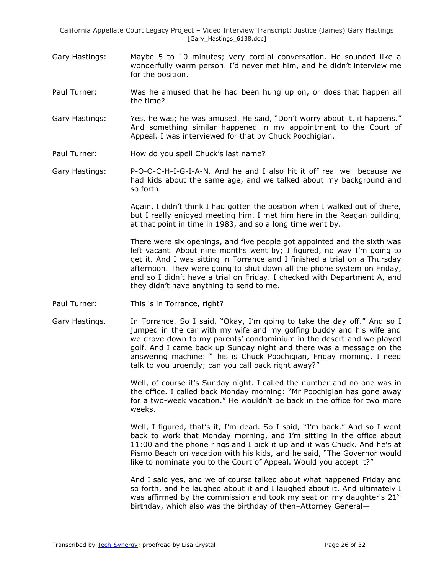- Gary Hastings: Maybe 5 to 10 minutes; very cordial conversation. He sounded like a wonderfully warm person. I'd never met him, and he didn't interview me for the position.
- Paul Turner: Was he amused that he had been hung up on, or does that happen all the time?
- Gary Hastings: Yes, he was; he was amused. He said, "Don't worry about it, it happens." And something similar happened in my appointment to the Court of Appeal. I was interviewed for that by Chuck Poochigian.
- Paul Turner: How do you spell Chuck's last name?
- Gary Hastings: P-O-O-C-H-I-G-I-A-N. And he and I also hit it off real well because we had kids about the same age, and we talked about my background and so forth.

Again, I didn't think I had gotten the position when I walked out of there, but I really enjoyed meeting him. I met him here in the Reagan building, at that point in time in 1983, and so a long time went by.

There were six openings, and five people got appointed and the sixth was left vacant. About nine months went by; I figured, no way I'm going to get it. And I was sitting in Torrance and I finished a trial on a Thursday afternoon. They were going to shut down all the phone system on Friday, and so I didn't have a trial on Friday. I checked with Department A, and they didn't have anything to send to me.

- Paul Turner: This is in Torrance, right?
- Gary Hastings. In Torrance. So I said, "Okay, I'm going to take the day off." And so I jumped in the car with my wife and my golfing buddy and his wife and we drove down to my parents' condominium in the desert and we played golf. And I came back up Sunday night and there was a message on the answering machine: "This is Chuck Poochigian, Friday morning. I need talk to you urgently; can you call back right away?"

Well, of course it's Sunday night. I called the number and no one was in the office. I called back Monday morning: "Mr Poochigian has gone away for a two-week vacation." He wouldn't be back in the office for two more weeks.

Well, I figured, that's it, I'm dead. So I said, "I'm back." And so I went back to work that Monday morning, and I'm sitting in the office about 11:00 and the phone rings and I pick it up and it was Chuck. And he's at Pismo Beach on vacation with his kids, and he said, "The Governor would like to nominate you to the Court of Appeal. Would you accept it?"

And I said yes, and we of course talked about what happened Friday and so forth, and he laughed about it and I laughed about it. And ultimately I was affirmed by the commission and took my seat on my daughter's  $21<sup>st</sup>$ birthday, which also was the birthday of then–Attorney General—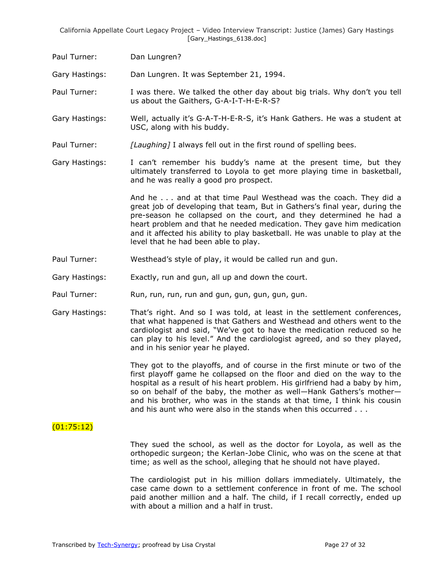Paul Turner: Dan Lungren?

Gary Hastings: Dan Lungren. It was September 21, 1994.

Paul Turner: I was there. We talked the other day about big trials. Why don't you tell us about the Gaithers, G-A-I-T-H-E-R-S?

- Gary Hastings: Well, actually it's G-A-T-H-E-R-S, it's Hank Gathers. He was a student at USC, along with his buddy.
- Paul Turner: *[Laughing]* I always fell out in the first round of spelling bees.
- Gary Hastings: I can't remember his buddy's name at the present time, but they ultimately transferred to Loyola to get more playing time in basketball, and he was really a good pro prospect.

And he . . . and at that time Paul Westhead was the coach. They did a great job of developing that team, But in Gathers's final year, during the pre-season he collapsed on the court, and they determined he had a heart problem and that he needed medication. They gave him medication and it affected his ability to play basketball. He was unable to play at the level that he had been able to play.

- Paul Turner: Westhead's style of play, it would be called run and gun.
- Gary Hastings: Exactly, run and gun, all up and down the court.
- Paul Turner: Run, run, run, run and gun, gun, gun, gun, gun.
- Gary Hastings: That's right. And so I was told, at least in the settlement conferences, that what happened is that Gathers and Westhead and others went to the cardiologist and said, ―We've got to have the medication reduced so he can play to his level." And the cardiologist agreed, and so they played, and in his senior year he played.

They got to the playoffs, and of course in the first minute or two of the first playoff game he collapsed on the floor and died on the way to the hospital as a result of his heart problem. His girlfriend had a baby by him, so on behalf of the baby, the mother as well—Hank Gathers's mother and his brother, who was in the stands at that time, I think his cousin and his aunt who were also in the stands when this occurred . . .

# (01:75:12)

They sued the school, as well as the doctor for Loyola, as well as the orthopedic surgeon; the Kerlan-Jobe Clinic, who was on the scene at that time; as well as the school, alleging that he should not have played.

The cardiologist put in his million dollars immediately. Ultimately, the case came down to a settlement conference in front of me. The school paid another million and a half. The child, if I recall correctly, ended up with about a million and a half in trust.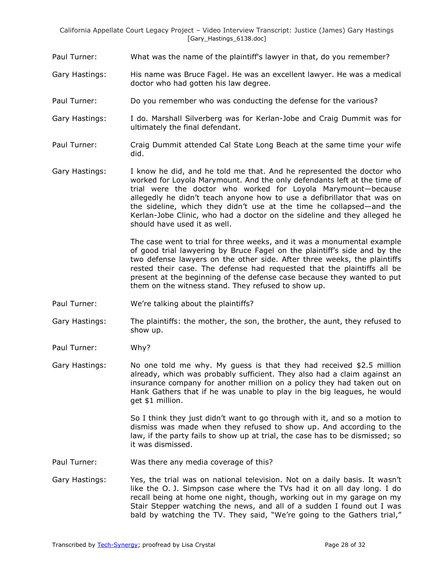- Paul Turner: What was the name of the plaintiff's lawyer in that, do you remember?
- Gary Hastings: His name was Bruce Fagel. He was an excellent lawyer. He was a medical doctor who had gotten his law degree.
- Paul Turner: Do you remember who was conducting the defense for the various?
- Gary Hastings: I do. Marshall Silverberg was for Kerlan-Jobe and Craig Dummit was for ultimately the final defendant.
- Paul Turner: Craig Dummit attended Cal State Long Beach at the same time your wife did.
- Gary Hastings: I know he did, and he told me that. And he represented the doctor who worked for Loyola Marymount. And the only defendants left at the time of trial were the doctor who worked for Loyola Marymount—because allegedly he didn't teach anyone how to use a defibrillator that was on the sideline, which they didn't use at the time he collapsed—and the Kerlan-Jobe Clinic, who had a doctor on the sideline and they alleged he should have used it as well.

The case went to trial for three weeks, and it was a monumental example of good trial lawyering by Bruce Fagel on the plaintiff's side and by the two defense lawyers on the other side. After three weeks, the plaintiffs rested their case. The defense had requested that the plaintiffs all be present at the beginning of the defense case because they wanted to put them on the witness stand. They refused to show up.

- Paul Turner: We're talking about the plaintiffs?
- Gary Hastings: The plaintiffs: the mother, the son, the brother, the aunt, they refused to show up.
- Paul Turner: Why?
- Gary Hastings: No one told me why. My guess is that they had received \$2.5 million already, which was probably sufficient. They also had a claim against an insurance company for another million on a policy they had taken out on Hank Gathers that if he was unable to play in the big leagues, he would get \$1 million.

So I think they just didn't want to go through with it, and so a motion to dismiss was made when they refused to show up. And according to the law, if the party fails to show up at trial, the case has to be dismissed; so it was dismissed.

- Paul Turner: Was there any media coverage of this?
- Gary Hastings: Yes, the trial was on national television. Not on a daily basis. It wasn't like the O. J. Simpson case where the TVs had it on all day long. I do recall being at home one night, though, working out in my garage on my Stair Stepper watching the news, and all of a sudden I found out I was bald by watching the TV. They said, "We're going to the Gathers trial,"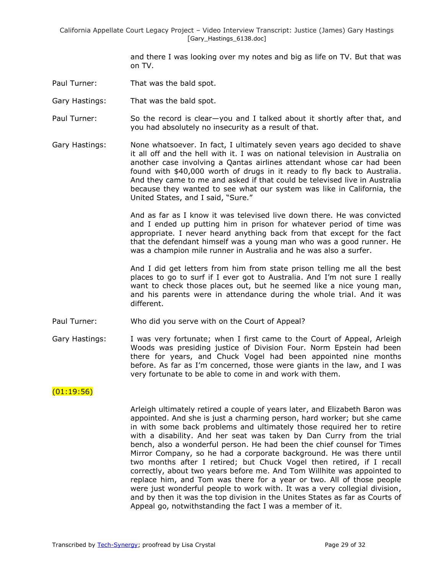and there I was looking over my notes and big as life on TV. But that was on TV.

- Paul Turner: That was the bald spot.
- Gary Hastings: That was the bald spot.

Paul Turner: So the record is clear—you and I talked about it shortly after that, and you had absolutely no insecurity as a result of that.

Gary Hastings: None whatsoever. In fact, I ultimately seven years ago decided to shave it all off and the hell with it. I was on national television in Australia on another case involving a Qantas airlines attendant whose car had been found with \$40,000 worth of drugs in it ready to fly back to Australia. And they came to me and asked if that could be televised live in Australia because they wanted to see what our system was like in California, the United States, and I said, "Sure."

> And as far as I know it was televised live down there. He was convicted and I ended up putting him in prison for whatever period of time was appropriate. I never heard anything back from that except for the fact that the defendant himself was a young man who was a good runner. He was a champion mile runner in Australia and he was also a surfer.

> And I did get letters from him from state prison telling me all the best places to go to surf if I ever got to Australia. And I'm not sure I really want to check those places out, but he seemed like a nice young man, and his parents were in attendance during the whole trial. And it was different.

- Paul Turner: Who did you serve with on the Court of Appeal?
- Gary Hastings: I was very fortunate; when I first came to the Court of Appeal, Arleigh Woods was presiding justice of Division Four. Norm Epstein had been there for years, and Chuck Vogel had been appointed nine months before. As far as I'm concerned, those were giants in the law, and I was very fortunate to be able to come in and work with them.

## $(01:19:56)$

Arleigh ultimately retired a couple of years later, and Elizabeth Baron was appointed. And she is just a charming person, hard worker; but she came in with some back problems and ultimately those required her to retire with a disability. And her seat was taken by Dan Curry from the trial bench, also a wonderful person. He had been the chief counsel for Times Mirror Company, so he had a corporate background. He was there until two months after I retired; but Chuck Vogel then retired, if I recall correctly, about two years before me. And Tom Willhite was appointed to replace him, and Tom was there for a year or two. All of those people were just wonderful people to work with. It was a very collegial division, and by then it was the top division in the Unites States as far as Courts of Appeal go, notwithstanding the fact I was a member of it.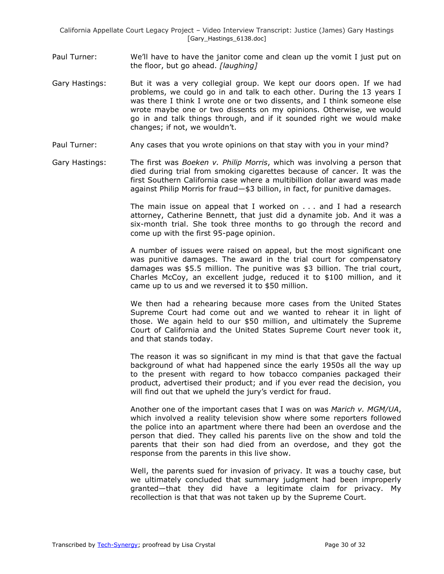- Paul Turner: We'll have to have the janitor come and clean up the vomit I just put on the floor, but go ahead. *[laughing]*
- Gary Hastings: But it was a very collegial group. We kept our doors open. If we had problems, we could go in and talk to each other. During the 13 years I was there I think I wrote one or two dissents, and I think someone else wrote maybe one or two dissents on my opinions. Otherwise, we would go in and talk things through, and if it sounded right we would make changes; if not, we wouldn't.
- Paul Turner: Any cases that you wrote opinions on that stay with you in your mind?
- Gary Hastings: The first was *Boeken v. Philip Morris*, which was involving a person that died during trial from smoking cigarettes because of cancer. It was the first Southern California case where a multibillion dollar award was made against Philip Morris for fraud—\$3 billion, in fact, for punitive damages.

The main issue on appeal that I worked on . . . and I had a research attorney, Catherine Bennett, that just did a dynamite job. And it was a six-month trial. She took three months to go through the record and come up with the first 95-page opinion.

A number of issues were raised on appeal, but the most significant one was punitive damages. The award in the trial court for compensatory damages was \$5.5 million. The punitive was \$3 billion. The trial court, Charles McCoy, an excellent judge, reduced it to \$100 million, and it came up to us and we reversed it to \$50 million.

We then had a rehearing because more cases from the United States Supreme Court had come out and we wanted to rehear it in light of those. We again held to our \$50 million, and ultimately the Supreme Court of California and the United States Supreme Court never took it, and that stands today.

The reason it was so significant in my mind is that that gave the factual background of what had happened since the early 1950s all the way up to the present with regard to how tobacco companies packaged their product, advertised their product; and if you ever read the decision, you will find out that we upheld the jury's verdict for fraud.

Another one of the important cases that I was on was *Marich v. MGM/UA*, which involved a reality television show where some reporters followed the police into an apartment where there had been an overdose and the person that died. They called his parents live on the show and told the parents that their son had died from an overdose, and they got the response from the parents in this live show.

Well, the parents sued for invasion of privacy. It was a touchy case, but we ultimately concluded that summary judgment had been improperly granted—that they did have a legitimate claim for privacy. My recollection is that that was not taken up by the Supreme Court.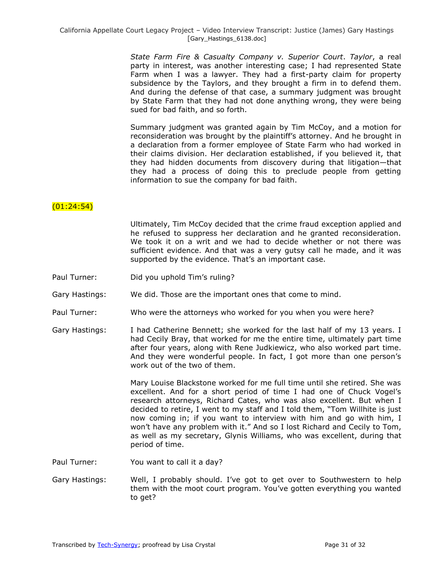> *State Farm Fire & Casualty Company v. Superior Court*. *Taylor*, a real party in interest, was another interesting case; I had represented State Farm when I was a lawyer. They had a first-party claim for property subsidence by the Taylors, and they brought a firm in to defend them. And during the defense of that case, a summary judgment was brought by State Farm that they had not done anything wrong, they were being sued for bad faith, and so forth.

> Summary judgment was granted again by Tim McCoy, and a motion for reconsideration was brought by the plaintiff's attorney. And he brought in a declaration from a former employee of State Farm who had worked in their claims division. Her declaration established, if you believed it, that they had hidden documents from discovery during that litigation—that they had a process of doing this to preclude people from getting information to sue the company for bad faith.

## (01:24:54)

Ultimately, Tim McCoy decided that the crime fraud exception applied and he refused to suppress her declaration and he granted reconsideration. We took it on a writ and we had to decide whether or not there was sufficient evidence. And that was a very gutsy call he made, and it was supported by the evidence. That's an important case.

Paul Turner: Did you uphold Tim's ruling?

Gary Hastings: We did. Those are the important ones that come to mind.

- Paul Turner: Who were the attorneys who worked for you when you were here?
- Gary Hastings: I had Catherine Bennett; she worked for the last half of my 13 years. I had Cecily Bray, that worked for me the entire time, ultimately part time after four years, along with Rene Judkiewicz, who also worked part time. And they were wonderful people. In fact, I got more than one person's work out of the two of them.

Mary Louise Blackstone worked for me full time until she retired. She was excellent. And for a short period of time I had one of Chuck Vogel's research attorneys, Richard Cates, who was also excellent. But when I decided to retire, I went to my staff and I told them, "Tom Willhite is just now coming in; if you want to interview with him and go with him, I won't have any problem with it." And so I lost Richard and Cecily to Tom, as well as my secretary, Glynis Williams, who was excellent, during that period of time.

Paul Turner: You want to call it a day?

Gary Hastings: Well, I probably should. I've got to get over to Southwestern to help them with the moot court program. You've gotten everything you wanted to get?